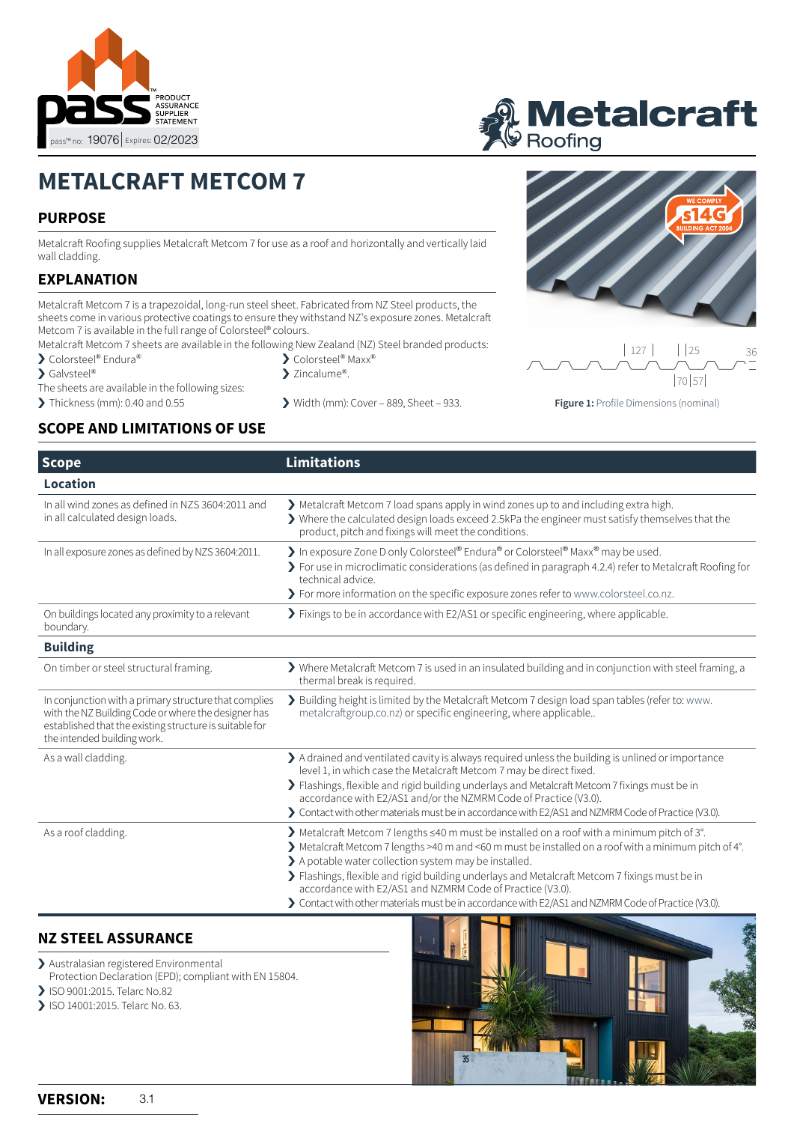



# **METALCRAFT METCOM 7**

### **PURPOSE**

Metalcraft Roofing supplies Metalcraft Metcom 7 for use as a roof and horizontally and vertically laid wall cladding.

#### **EXPLANATION**

Metalcraft Metcom 7 is a trapezoidal, long-run steel sheet. Fabricated from NZ Steel products, the sheets come in various protective coatings to ensure they withstand NZ's exposure zones. Metalcraft Metcom 7 is available in the full range of Colorsteel® colours.

- Metalcraft Metcom 7 sheets are available in the following New Zealand (NZ) Steel branded products:
- > Colorsteel® Endura®
- ▶ Galvsteel®
- The sheets are available in the following sizes:
- 
- > Colorsteel<sup>®</sup> Maxx<sup>®</sup> > Zincalume®.
- 
- > Thickness (mm): 0.40 and 0.55 > Width (mm): Cover 889, Sheet 933.





**Figure 1:** Profile Dimensions (nominal)

#### **SCOPE AND LIMITATIONS OF USE**

| <b>Scope</b>                                                                                                                                                                                           | <b>Limitations</b>                                                                                                                                                                                                                                                                                                                                                                                                                                                                                                                 |  |
|--------------------------------------------------------------------------------------------------------------------------------------------------------------------------------------------------------|------------------------------------------------------------------------------------------------------------------------------------------------------------------------------------------------------------------------------------------------------------------------------------------------------------------------------------------------------------------------------------------------------------------------------------------------------------------------------------------------------------------------------------|--|
| Location                                                                                                                                                                                               |                                                                                                                                                                                                                                                                                                                                                                                                                                                                                                                                    |  |
| In all wind zones as defined in NZS 3604:2011 and<br>in all calculated design loads.                                                                                                                   | Metalcraft Metcom 7 load spans apply in wind zones up to and including extra high.<br>> Where the calculated design loads exceed 2.5kPa the engineer must satisfy themselves that the<br>product, pitch and fixings will meet the conditions.                                                                                                                                                                                                                                                                                      |  |
| In all exposure zones as defined by NZS 3604:2011.                                                                                                                                                     | > In exposure Zone D only Colorsteel® Endura® or Colorsteel® Maxx® may be used.<br>> For use in microclimatic considerations (as defined in paragraph 4.2.4) refer to Metalcraft Roofing for<br>technical advice.<br>> For more information on the specific exposure zones refer to www.colorsteel.co.nz.                                                                                                                                                                                                                          |  |
| On buildings located any proximity to a relevant<br>boundary.                                                                                                                                          | > Fixings to be in accordance with E2/AS1 or specific engineering, where applicable.                                                                                                                                                                                                                                                                                                                                                                                                                                               |  |
| <b>Building</b>                                                                                                                                                                                        |                                                                                                                                                                                                                                                                                                                                                                                                                                                                                                                                    |  |
| On timber or steel structural framing.                                                                                                                                                                 | > Where Metalcraft Metcom 7 is used in an insulated building and in conjunction with steel framing, a<br>thermal break is required.                                                                                                                                                                                                                                                                                                                                                                                                |  |
| In conjunction with a primary structure that complies<br>with the NZ Building Code or where the designer has<br>established that the existing structure is suitable for<br>the intended building work. | > Building height is limited by the Metalcraft Metcom 7 design load span tables (refer to: www.<br>metalcraftgroup.co.nz) or specific engineering, where applicable                                                                                                                                                                                                                                                                                                                                                                |  |
| As a wall cladding.                                                                                                                                                                                    | A drained and ventilated cavity is always required unless the building is unlined or importance<br>level 1, in which case the Metalcraft Metcom 7 may be direct fixed.<br>> Flashings, flexible and rigid building underlays and Metalcraft Metcom 7 fixings must be in<br>accordance with E2/AS1 and/or the NZMRM Code of Practice (V3.0).<br>> Contact with other materials must be in accordance with E2/AS1 and NZMRM Code of Practice (V3.0).                                                                                 |  |
| As a roof cladding.                                                                                                                                                                                    | ▶ Metalcraft Metcom 7 lengths ≤40 m must be installed on a roof with a minimum pitch of 3°.<br>> Metalcraft Metcom 7 lengths >40 m and <60 m must be installed on a roof with a minimum pitch of 4°.<br>> A potable water collection system may be installed.<br>> Flashings, flexible and rigid building underlays and Metalcraft Metcom 7 fixings must be in<br>accordance with E2/AS1 and NZMRM Code of Practice (V3.0).<br>> Contact with other materials must be in accordance with E2/AS1 and NZMRM Code of Practice (V3.0). |  |

#### **NZ STEEL ASSURANCE**

- > Australasian registered Environmental
- Protection Declaration (EPD); compliant with EN 15804.
- > ISO 9001:2015. Telarc No.82
- > ISO 14001:2015. Telarc No. 63.